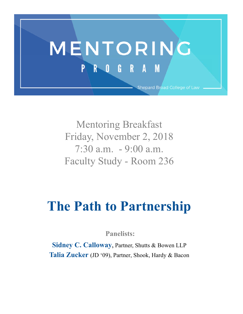

Mentoring Breakfast Friday, November 2, 2018 7:30 a.m. - 9:00 a.m. Faculty Study - Room 236

# **The Path to Partnership**

 **Panelists:** 

**Sidney C. Calloway**, Partner, Shutts & Bowen LLP **Talia Zucker** (JD '09), Partner, Shook, Hardy & Bacon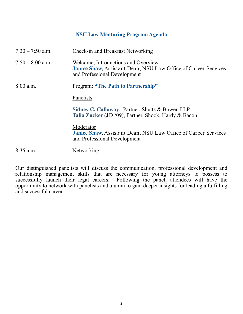## **NSU Law Mentoring Program Agenda**

| $7:30 - 7:50$ a.m. : |                | Check-in and Breakfast Networking                                                                                                            |
|----------------------|----------------|----------------------------------------------------------------------------------------------------------------------------------------------|
| $7:50 - 8:00$ a.m.   | $\sim$ 1       | Welcome, Introductions and Overview<br><b>Janice Shaw, Assistant Dean, NSU Law Office of Career Services</b><br>and Professional Development |
| $8:00$ a.m.          | $\ddot{\cdot}$ | <b>Program: "The Path to Partnership"</b>                                                                                                    |
|                      |                | Panelists:                                                                                                                                   |
|                      |                | Sidney C. Calloway, Partner, Shutts & Bowen LLP<br>Talia Zucker (JD '09), Partner, Shook, Hardy & Bacon                                      |
|                      |                | Moderator<br>Janice Shaw, Assistant Dean, NSU Law Office of Career Services<br>and Professional Development                                  |
| $8:35$ a.m.          | $\ddot{\cdot}$ | Networking                                                                                                                                   |

Our distinguished panelists will discuss the communication, professional development and relationship management skills that are necessary for young attorneys to possess to successfully launch their legal careers. Following the panel, attendees will have the opportunity to network with panelists and alumni to gain deeper insights for leading a fulfilling and successful career.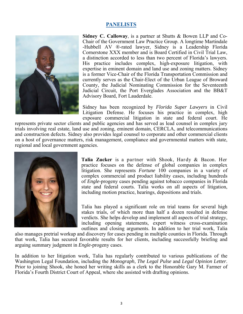## **PANELISTS**



**Sidney C. Calloway**, is a partner at Shutts & Bowen LLP and Co-Chair of the Government Law Practice Group. A longtime Martindale -Hubbell AV ®-rated lawyer, Sidney is a Leadership Florida Cornerstone XXX member and is Board Certified in Civil Trial Law, a distinction accorded to less than two percent of Florida's lawyers. His practice includes complex, high-exposure litigation, with expertise in eminent domain and land use and zoning matters. Sidney is a former Vice-Chair of the Florida Transportation Commission and currently serves as the Chair-Elect of the Urban League of Broward County, the Judicial Nominating Commission for the Seventeenth Judicial Circuit, the Port Everglades Association and the BB&T Advisory Board, Fort Lauderdale.

Sidney has been recognized by *Florida Super Lawyers* in Civil Litigation Defense. He focuses his practice in complex, high exposure commercial litigation in state and federal court. He

represents private sector clients and public agencies and has served as lead counsel in complex jury trials involving real estate, land use and zoning, eminent domain, CERCLA, and telecommunications and construction defects. Sidney also provides legal counsel to corporate and other commercial clients on a host of governance matters, risk management, compliance and governmental matters with state, regional and local government agencies.



**Talia Zucker** is a partner with Shook, Hardy & Bacon. Her practice focuses on the defense of global companies in complex litigation. She represents *Fortune* 100 companies in a variety of complex commercial and product liability cases, including hundreds of *Engle*-progeny cases pending against tobacco companies in Florida state and federal courts. Talia works on all aspects of litigation, including motion practice, hearings, depositions and trials.

Talia has played a significant role on trial teams for several high stakes trials, of which more than half a dozen resulted in defense verdicts. She helps develop and implement all aspects of trial strategy, including opening statements, expert witness cross-examination outlines and closing arguments. In addition to her trial work, Talia

also manages pretrial workup and discovery for cases pending in multiple counties in Florida. Through that work, Talia has secured favorable results for her clients, including successfully briefing and arguing summary judgment in *Engle*-progeny cases.

In addition to her litigation work, Talia has regularly contributed to various publications of the Washington Legal Foundation, including the *Monograph*, *The Legal Pulse* and *Legal Opinion Letter*. Prior to joining Shook, she honed her writing skills as a clerk to the Honorable Gary M. Farmer of Florida's Fourth District Court of Appeal, where she assisted with drafting opinions.